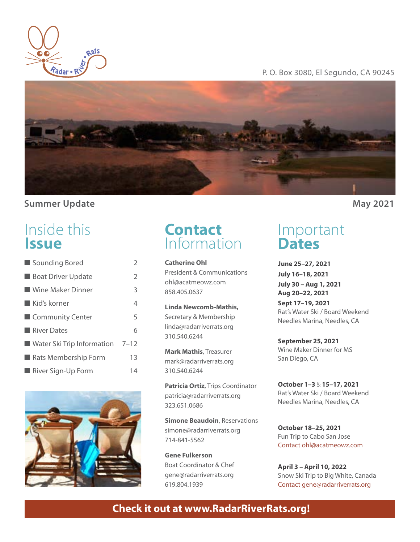

### P. O. Box 3080, El Segundo, CA 90245



### **Summer Update May 2021**

# Inside this **Issue**

| Sounding Bored                           | $\overline{2}$ |
|------------------------------------------|----------------|
| <b>Boat Driver Update</b>                | $\mathcal{P}$  |
| ■ Wine Maker Dinner                      | 3              |
| $\blacksquare$ Kid's korner              | 4              |
| Community Center                         | 5              |
| <b>River Dates</b>                       | 6              |
| <b>Notar Ski Trip Information</b> $7-12$ |                |
| Rats Membership Form                     | 13             |
| River Sign-Up Form                       | 14             |
|                                          |                |



# **Contact**<br>Information

**Catherine Ohl** President & Communications ohl@acatmeowz.com 858.405.0637

**Linda Newcomb-Mathis,**  Secretary & Membership linda@radarriverrats.org 310.540.6244

**Mark Mathis**, Treasurer mark@radarriverrats.org 310.540.6244

**Patricia Ortiz**, Trips Coordinator patricia@radarriverrats.org 323.651.0686

**Simone Beaudoin**, Reservations simone@radarriverrats.org 714-841-5562

**Gene Fulkerson** Boat Coordinator & Chef gene@radarriverrats.org 619.804.1939

Important **Dates**

**June 25–27, 2021 July 16–18, 2021 July 30 – Aug 1, 2021 Aug 20–22, 2021 Sept 17–19, 2021**  Rat's Water Ski / Board Weekend Needles Marina, Needles, CA

**September 25, 2021**  Wine Maker Dinner for MS San Diego, CA

**October 1–3** & **15–17, 2021** Rat's Water Ski / Board Weekend Needles Marina, Needles, CA

**October 18–25, 2021** Fun Trip to Cabo San Jose Contact ohl@acatmeowz.com

**April 3 – April 10, 2022** Snow Ski Trip to Big White, Canada Contact gene@radarriverrats.org

# **Check it out at www.RadarRiverRats.org!**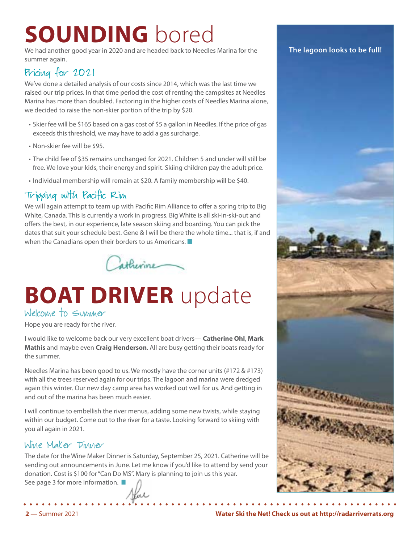# **SOUNDING** bored

We had another good year in 2020 and are headed back to Needles Marina for the summer again.

# Pricing for 2021

We've done a detailed analysis of our costs since 2014, which was the last time we raised our trip prices. In that time period the cost of renting the campsites at Needles Marina has more than doubled. Factoring in the higher costs of Needles Marina alone, we decided to raise the non-skier portion of the trip by \$20.

- Skier fee will be \$165 based on a gas cost of \$5 a gallon in Needles. If the price of gas exceeds this threshold, we may have to add a gas surcharge.
- Non-skier fee will be \$95.
- The child fee of \$35 remains unchanged for 2021. Children 5 and under will still be free. We love your kids, their energy and spirit. Skiing children pay the adult price.
- Individual membership will remain at \$20. A family membership will be \$40.

# Tripping with Pacific Rim

We will again attempt to team up with Pacific Rim Alliance to offer a spring trip to Big White, Canada. This is currently a work in progress. Big White is all ski-in-ski-out and offers the best, in our experience, late season skiing and boarding. You can pick the dates that suit your schedule best. Gene & I will be there the whole time... that is, if and when the Canadians open their borders to us Americans.  $\blacksquare$ 



# **BOAT DRIVER** update

## Welcome to Summer

Hope you are ready for the river.

I would like to welcome back our very excellent boat drivers— **Catherine Ohl**, **Mark Mathis** and maybe even **Craig Henderson**. All are busy getting their boats ready for the summer.

Needles Marina has been good to us. We mostly have the corner units (#172 & #173) with all the trees reserved again for our trips. The lagoon and marina were dredged again this winter. Our new day camp area has worked out well for us. And getting in and out of the marina has been much easier.

I will continue to embellish the river menus, adding some new twists, while staying within our budget. Come out to the river for a taste. Looking forward to skiing with you all again in 2021.

## Wine Maker Dinner

The date for the Wine Maker Dinner is Saturday, September 25, 2021. Catherine will be sending out announcements in June. Let me know if you'd like to attend by send your donation. Cost is \$100 for "Can Do MS". Mary is planning to join us this year.

See page 3 for more information.  $\blacksquare$ 

#### **The lagoon looks to be full!**



**2** — Summer 2021 **Water Ski the Net! Check us out at http://radarriverrats.org**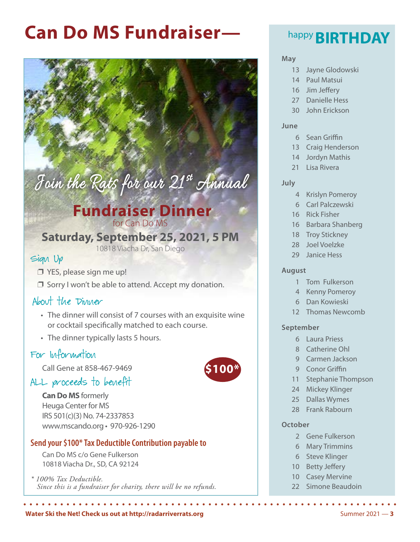# **Can Do MS Fundraiser— BIRTHDAY**

# Join the Rats for our 21st Annual

# **Fundraiser Dinner** for Can Do MS

# **Saturday, September 25, 2021, 5 PM**

10818 Viacha Dr, San Diego

## Sign Up

- $\Box$  YES, please sign me up!
- $\Box$  Sorry I won't be able to attend. Accept my donation.

# About the Dinner

- The dinner will consist of 7 courses with an exquisite wine or cocktail specifically matched to each course.
- The dinner typically lasts 5 hours.

# For Information

Call Gene at 858-467-9469

# ALL proceeds to benefit

**Can Do MS** formerly Heuga Center for MS IRS 501(c)(3) No. 74-2337853 www.mscando.org • 970-926-1290

### **Send your \$100\* Tax Deductible Contribution payable to**

Can Do MS c/o Gene Fulkerson 10818 Viacha Dr., SD, CA 92124

*\* 100% Tax Deductible. Since this is a fundraiser for charity, there will be no refunds.*

# **\$100\***

#### **May**

- 13 Jayne Glodowski
- 14 Paul Matsui
- 16 Jim Jeffery
- 27 Danielle Hess
- 30 John Erickson

#### **June**

- 6 Sean Griffin
- 13 Craig Henderson
- 14 Jordyn Mathis
- 21 Lisa Rivera

#### **July**

- 4 Krislyn Pomeroy
- 6 Carl Palczewski
- 16 Rick Fisher
- 16 Barbara Shanberg
- 18 Troy Stickney
- 28 Joel Voelzke
- 29 Janice Hess

#### **August**

- 1 Tom Fulkerson
- 4 Kenny Pomeroy
- 6 Dan Kowieski
- 12 Thomas Newcomb

#### **September**

- 6 Laura Priess
- 8 Catherine Ohl
- 9 Carmen Jackson
- 9 Conor Griffin
- 11 Stephanie Thompson
- 24 Mickey Klinger
- 25 Dallas Wymes
- 28 Frank Rabourn

#### **October**

- 2 Gene Fulkerson
- 6 Mary Trimmins
- 6 Steve Klinger
- 10 Betty Jeffery
- 10 Casey Mervine
- 22 Simone Beaudoin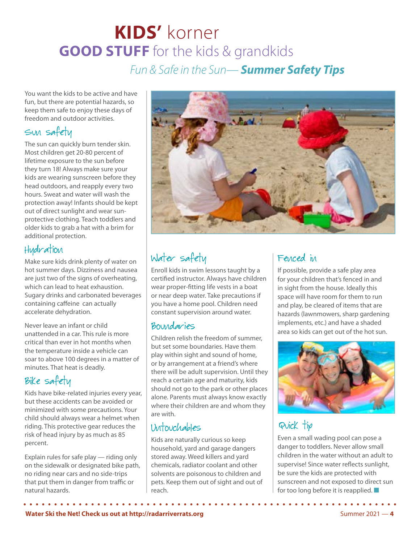# **KIDS'** korner **GOOD STUFF** for the kids & grandkids

*Fun & Safe in the Sun— Summer Safety Tips*

You want the kids to be active and have fun, but there are potential hazards, so keep them safe to enjoy these days of freedom and outdoor activities.

# Sun safety

The sun can quickly burn tender skin. Most children get 20-80 percent of lifetime exposure to the sun before they turn 18! Always make sure your kids are wearing sunscreen before they head outdoors, and reapply every two hours. Sweat and water will wash the protection away! Infants should be kept out of direct sunlight and wear sunprotective clothing. Teach toddlers and older kids to grab a hat with a brim for additional protection.

# Hydration

Make sure kids drink plenty of water on hot summer days. Dizziness and nausea are just two of the signs of overheating, which can lead to heat exhaustion. Sugary drinks and carbonated beverages containing caffeine can actually accelerate dehydration.

Never leave an infant or child unattended in a car. This rule is more critical than ever in hot months when the temperature inside a vehicle can soar to above 100 degrees in a matter of minutes. That heat is deadly.

# Bike safety

Kids have bike-related injuries every year, but these accidents can be avoided or minimized with some precautions. Your child should always wear a helmet when riding. This protective gear reduces the risk of head injury by as much as 85 percent.

Explain rules for safe play — riding only on the sidewalk or designated bike path, no riding near cars and no side-trips that put them in danger from traffic or natural hazards.



# Water safety

Enroll kids in swim lessons taught by a certified instructor. Always have children wear proper-fitting life vests in a boat or near deep water. Take precautions if you have a home pool. Children need constant supervision around water.

# Boundaries

Children relish the freedom of summer, but set some boundaries. Have them play within sight and sound of home, or by arrangement at a friend's where there will be adult supervision. Until they reach a certain age and maturity, kids should not go to the park or other places alone. Parents must always know exactly where their children are and whom they are with.

# Untouchables

Kids are naturally curious so keep household, yard and garage dangers stored away. Weed killers and yard chemicals, radiator coolant and other solvents are poisonous to children and pets. Keep them out of sight and out of reach.

# Fenced in

If possible, provide a safe play area for your children that's fenced in and in sight from the house. Ideally this space will have room for them to run and play, be cleared of items that are hazards (lawnmowers, sharp gardening implements, etc.) and have a shaded area so kids can get out of the hot sun.



# Quick tip

Even a small wading pool can pose a danger to toddlers. Never allow small children in the water without an adult to supervise! Since water reflects sunlight, be sure the kids are protected with sunscreen and not exposed to direct sun for too long before it is reapplied.  $\blacksquare$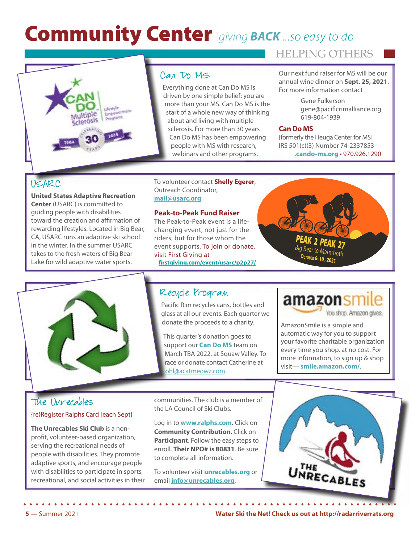# Community Center *giving BACK ...so easy to do*

HELPING OTHERS



## Can Do MS

Everything done at Can Do MS is driven by one simple belief: you are more than your MS. Can Do MS is the start of a whole new way of thinking about and living with multiple sclerosis. For more than 30 years Can Do MS has been empowering people with MS with research, webinars and other programs.

Our next fund raiser for MS will be our annual wine dinner on **Sept. 25, 2021**. For more information contact

> Gene Fulkerson gene@pacificrimalliance.org 619-804-1939

#### **Can Do MS**

[formerly the Heuga Center for MS] IRS 501(c)(3) Number 74-2337853 **.cando-ms.org** • 970.926.1290

## USARC

**United States Adaptive Recreation Center** (USARC) is committed to guiding people with disabilities toward the creation and affirmation of rewarding lifestyles. Located in Big Bear, CA, USARC runs an adaptive ski school in the winter. In the summer USARC takes to the fresh waters of Big Bear Lake for wild adaptive water sports.

#### To volunteer contact **Shelly Egerer**, Outreach Coordinator, **mai[l@usarc.org](mailto:mail%40usarc.org?subject=)**.

#### **Peak-to-Peak Fund Raiser**

The Peak-to-Peak event is a life changing event, not just for the riders, but for those whom th event supports. To join or don visit First Giving at  **[firstgiving.com/event/usarc/p2p27/](https://www.firstgiving.com/event/usarc/p2p25/)**





## Recycle Program

Pacific Rim recycles cans, bottles and glass at all our events. Each quarter we donate the proceeds to a charity.

This quarter's donation goes to support our **Can Do MS** team on March TBA 2022, at Squaw Valley. To race or donate contact Catherine at [ohl@acatmeowz.com](mailto:ohl%40acatmeowz.com?subject=).

# amazonsmile You shoo. Amazon gives.

AmazonSmile is a simple and automatic way for you to support your favorite charitable organization every time you shop, at no cost. For more information, to sign up & shop visit— **[smile.amazon.com/](http://smile.amazon.com/)**.

## The Unrecables {re}Register Ralphs Card [each Sept]

**The Unrecables Ski Club** is a nonprofit, volunteer-based organization, serving the recreational needs of people with disabilities. They promote adaptive sports, and encourage people with disabilities to participate in sports. recreational, and social activities in their communities. The club is a member of the LA Council of Ski Clubs.

Log in to **[www.ralphs.com.](http://www.ralphs.com)** Click on **Community Contribution**. Click on **Participant**. Follow the easy steps to enroll. **Their NPO# is 80831**. Be sure to complete all information.

To volunteer visit **[unrecables.org](http://unrecables.org)** or email **[info@unrecables.org](mailto:info%40unrecables.org?subject=)**.

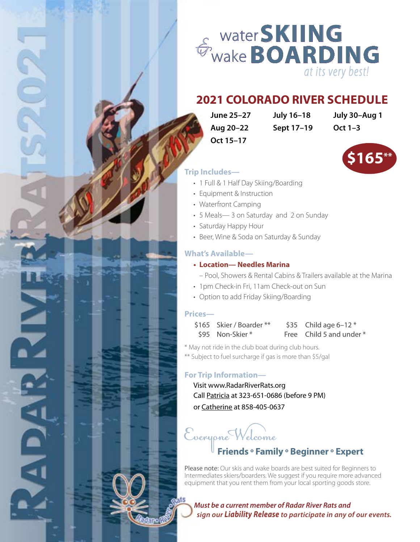

# **2021 COLORADO RIVER SCHEDULE**

**Aug 20–22 Sept 17–19 Oct 1–3 Oct 15–17**

**June 25–27 July 16–18 July 30–Aug 1**



#### **Trip Includes—**

- 1 Full & 1 Half Day Skiing/Boarding
- Equipment & Instruction
- Waterfront Camping
- 5 Meals— 3 on Saturday and 2 on Sunday
- Saturday Happy Hour
- Beer, Wine & Soda on Saturday & Sunday

#### **What's Available—**

#### **• Location— Needles Marina**

- Pool, Showers & Rental Cabins & Trailers available at the Marina
- 1pm Check-in Fri, 11am Check-out on Sun
- Option to add Friday Skiing/Boarding

#### **Prices—**

kiro (

 $\frac{1}{\sqrt{2}}$ 

**ALDALITY** 

 $$165$  Skier / Boarder \*\*  $$35$  Child age 6-12 \* \$95 Non-Skier \* Free Child 5 and under \*

\* May not ride in the club boat during club hours.

\*\* Subject to fuel surcharge if gas is more than \$5/gal

#### **For Trip Information—**

Visit www.RadarRiverRats.org Call [Patricia](mailto:patricia_ortiz%40sbcglobal.net?subject=Radar%20River%20Rats%20Flyer) at 323-651-0686 (before 9 PM) or Catherine at 858-405-0637

Everyone Welcome **Friends ° Family ° Beginner ° Expert**

Please note: Our skis and wake boards are best suited for Beginners to Intermediates skiers/boarders. We suggest if you require more advanced equipment that you rent them from your local sporting goods store.

*Must be a current member of Radar River Rats and sign our Liability Release to participate in any of our events.*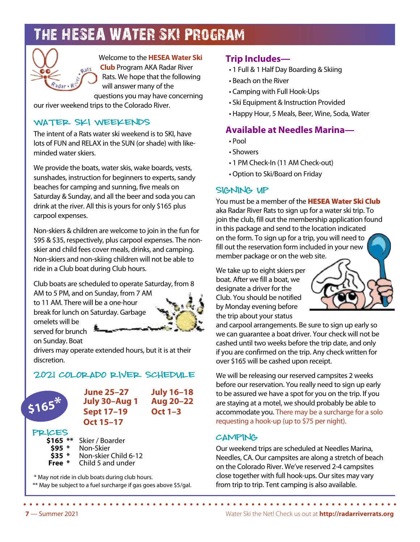# The HESEA WATER SKI Program



Welcome to the **HESEA Water Ski** 

**Club** Program AKA Radar River Rats. We hope that the following will answer many of the questions you may have concerning

our river weekend trips to the Colorado River.

## WATER SKI WEEKENDS

The intent of a Rats water ski weekend is to SKI, have lots of FUN and RELAX in the SUN (or shade) with likeminded water skiers.

We provide the boats, water skis, wake boards, vests, sunshades, instruction for beginners to experts, sandy beaches for camping and sunning, five meals on Saturday & Sunday, and all the beer and soda you can drink at the river. All this is yours for only \$165 plus carpool expenses.

Non-skiers & children are welcome to join in the fun for \$95 & \$35, respectively, plus carpool expenses. The nonskier and child fees cover meals, drinks, and camping. Non-skiers and non-skiing children will not be able to ride in a Club boat during Club hours.

Club boats are scheduled to operate Saturday, from 8

AM to 5 PM, and on Sunday, from 7 AM to 11 AM. There will be a one-hour break for lunch on Saturday. Garbage

omelets will be served for brunch on Sunday. Boat

drivers may operate extended hours, but it is at their discretion.

## 2021 Colorado River Schedule



**June 25–27 July 16–18 July 30–Aug 1 Aug 20–22 Sept 17–19 Oct 1–3 Oct 15–17**

#### Prices—

- **\$165 \*\*** Skier / Boarder
- **\$95 \*** Non-Skier
- **\$35** \* Non-skier Child 6-12<br>**Free** \* Child 5 and under
	- **Free \*** Child 5 and under

\* May not ride in club boats during club hours.

\*\* May be subject to a fuel surcharge if gas goes above \$5/gal.

### **Trip Includes—**

- 1 Full & 1 Half Day Boarding & Skiing
- Beach on the River
- Camping with Full Hook-Ups
- Ski Equipment & Instruction Provided
- Happy Hour, 5 Meals, Beer, Wine, Soda, Water

## **Available at Needles Marina—**

- Pool
- Showers
- 1 PM Check-In (11 AM Check-out)
- Option to Ski/Board on Friday

### SIGNING UP

You must be a member of the HESEA Water Ski Club aka Radar River Rats to sign up for a water ski trip. To join the club, fill out the membership application found in this package and send to the location indicated on the form. To sign up for a trip, you will need to fill out the reservation form included in your new member package or on the web site.

We take up to eight skiers per boat. After we fill a boat, we designate a driver for the Club. You should be notified by Monday evening before the trip about your status

and carpool arrangements. Be sure to sign up early so we can guarantee a boat driver. Your check will not be cashed until two weeks before the trip date, and only if you are confirmed on the trip. Any check written for over \$165 will be cashed upon receipt.

We will be releasing our reserved campsites 2 weeks before our reservation. You really need to sign up early to be assured we have a spot for you on the trip. If you are staying at a motel, we should probably be able to accommodate you. There may be a surcharge for a solo requesting a hook-up (up to \$75 per night).

## **CAMPING**

Our weekend trips are scheduled at Needles Marina, Needles, CA. Our campsites are along a stretch of beach on the Colorado River. We've reserved 2-4 campsites close together with full hook-ups. Our sites may vary from trip to trip. Tent camping is also available.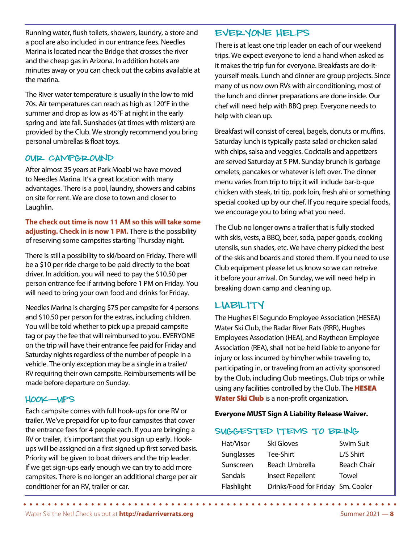Running water, flush toilets, showers, laundry, a store and a pool are also included in our entrance fees. Needles Marina is located near the Bridge that crosses the river and the cheap gas in Arizona. In addition hotels are minutes away or you can check out the cabins available at the marina.

The River water temperature is usually in the low to mid 70s. Air temperatures can reach as high as 120°F in the summer and drop as low as 45°F at night in the early spring and late fall. Sunshades (at times with misters) are provided by the Club. We strongly recommend you bring personal umbrellas & float toys.

#### OUR CAMPGROUND

After almost 35 years at Park Moabi we have moved to Needles Marina. It's a great location with many advantages. There is a pool, laundry, showers and cabins on site for rent. We are close to town and closer to Laughlin.

**The check out time is now 11 AM so this will take some adjusting. Check in is now 1 PM.** There is the possibility of reserving some campsites starting Thursday night.

There is still a possibility to ski/board on Friday. There will be a \$10 per ride charge to be paid directly to the boat driver. In addition, you will need to pay the \$10.50 per person entrance fee if arriving before 1 PM on Friday. You will need to bring your own food and drinks for Friday.

Needles Marina is charging \$75 per campsite for 4 persons and \$10.50 per person for the extras, including children. You will be told whether to pick up a prepaid campsite tag or pay the fee that will reimbursed to you. EVERYONE on the trip will have their entrance fee paid for Friday and Saturday nights regardless of the number of people in a vehicle. The only exception may be a single in a trailer/ RV requiring their own campsite. Reimbursements will be made before departure on Sunday.

#### Hook-Ups—

Each campsite comes with full hook-ups for one RV or trailer. We've prepaid for up to four campsites that cover the entrance fees for 4 people each. If you are bringing a RV or trailer, it's important that you sign up early. Hookups will be assigned on a first signed up first served basis. Priority will be given to boat drivers and the trip leader. If we get sign-ups early enough we can try to add more campsites. There is no longer an additional charge per air conditioner for an RV, trailer or car.

## Everyone Helps

There is at least one trip leader on each of our weekend trips. We expect everyone to lend a hand when asked as it makes the trip fun for everyone. Breakfasts are do-ityourself meals. Lunch and dinner are group projects. Since many of us now own RVs with air conditioning, most of the lunch and dinner preparations are done inside. Our chef will need help with BBQ prep. Everyone needs to help with clean up.

Breakfast will consist of cereal, bagels, donuts or muffins. Saturday lunch is typically pasta salad or chicken salad with chips, salsa and veggies. Cocktails and appetizers are served Saturday at 5 PM. Sunday brunch is garbage omelets, pancakes or whatever is left over. The dinner menu varies from trip to trip; it will include bar-b-que chicken with steak, tri tip, pork loin, fresh ahi or something special cooked up by our chef. If you require special foods, we encourage you to bring what you need.

The Club no longer owns a trailer that is fully stocked with skis, vests, a BBQ, beer, soda, paper goods, cooking utensils, sun shades, etc. We have cherry picked the best of the skis and boards and stored them. If you need to use Club equipment please let us know so we can retreive it before your arrival. On Sunday, we will need help in breaking down camp and cleaning up.

## Liability—

The Hughes El Segundo Employee Association (HESEA) Water Ski Club, the Radar River Rats (RRR), Hughes Employees Association (HEA), and Raytheon Employee Association (REA), shall not be held liable to anyone for injury or loss incurred by him/her while traveling to, participating in, or traveling from an activity sponsored by the Club, including Club meetings, Club trips or while using any facilities controlled by the Club. The **HESEA Water Ski Club** is a non-profit organization.

#### **Everyone MUST Sign A Liability Release Waiver.**

#### Suggested Items to Bring—

. . . . . . . . . . .

| Hat/Visor  | Ski Gloves                        | Swim Suit          |
|------------|-----------------------------------|--------------------|
| Sunglasses | Tee-Shirt                         | L/S Shirt          |
| Sunscreen  | Beach Umbrella                    | <b>Beach Chair</b> |
| Sandals    | <b>Insect Repellent</b>           | Towel              |
| Flashlight | Drinks/Food for Friday Sm. Cooler |                    |

. . . . . . . . . . . .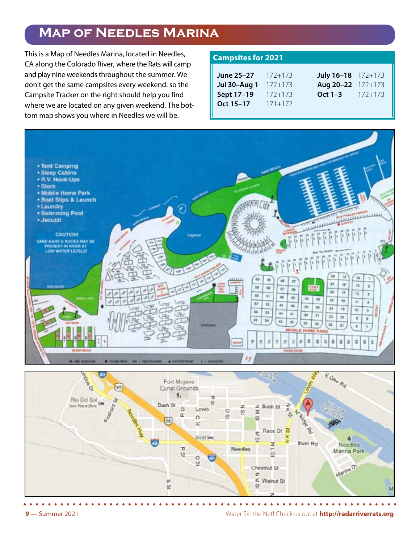# **Map of Needles Marina**

This is a Map of Needles Marina, located in Needles, CA along the Colorado River, where the Rats will camp and play nine weekends throughout the summer. We don't get the same campsites every weekend. so the Campsite Tracker on the right should help you find where we are located on any given weekend. The bottom map shows you where in Needles we will be.

### **Campsites for 2021**

| <b>June 25–27</b> $172+173$   |             | July 16-18 172+173       |  |
|-------------------------------|-------------|--------------------------|--|
| <b>Jul 30–Aug 1</b> $172+173$ |             | Aug 20-22 172+173        |  |
| Sept 17-19                    | $172 + 173$ | <b>Oct 1–3</b> $172+173$ |  |
| Oct 15-17                     | $171 + 172$ |                          |  |
|                               |             |                          |  |



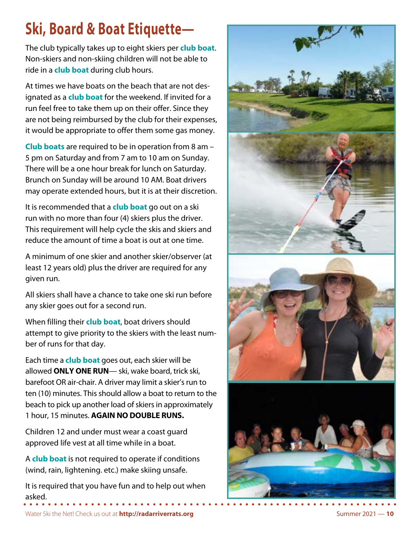# **Ski, Board & Boat Etiquette—**

The club typically takes up to eight skiers per **club boat**. Non-skiers and non-skiing children will not be able to ride in a **club boat** during club hours.

At times we have boats on the beach that are not designated as a **club boat** for the weekend. If invited for a run feel free to take them up on their offer. Since they are not being reimbursed by the club for their expenses, it would be appropriate to offer them some gas money.

**Club boats** are required to be in operation from 8 am – 5 pm on Saturday and from 7 am to 10 am on Sunday. There will be a one hour break for lunch on Saturday. Brunch on Sunday will be around 10 AM. Boat drivers may operate extended hours, but it is at their discretion.

It is recommended that a **club boat** go out on a ski run with no more than four (4) skiers plus the driver. This requirement will help cycle the skis and skiers and reduce the amount of time a boat is out at one time.

A minimum of one skier and another skier/observer (at least 12 years old) plus the driver are required for any given run.

All skiers shall have a chance to take one ski run before any skier goes out for a second run.

When filling their **club boat**, boat drivers should attempt to give priority to the skiers with the least number of runs for that day.

Each time a **club boat** goes out, each skier will be allowed **ONLY ONE RUN**— ski, wake board, trick ski, barefoot OR air-chair. A driver may limit a skier's run to ten (10) minutes. This should allow a boat to return to the beach to pick up another load of skiers in approximately 1 hour, 15 minutes. **AGAIN NO DOUBLE RUNS.**

Children 12 and under must wear a coast guard approved life vest at all time while in a boat.

A **club boat** is not required to operate if conditions (wind, rain, lightening. etc.) make skiing unsafe.

It is required that you have fun and to help out when asked.



Water Ski the Net! Check us out at **http://radarriverrats.org** Summer 2021 — 10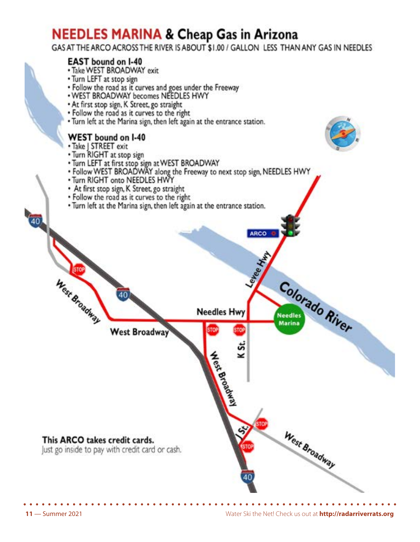# **NEEDLES MARINA & Cheap Gas in Arizona**

GAS AT THE ARCO ACROSS THE RIVER IS ABOUT \$1.00 / GALLON LESS THAN ANY GAS IN NEEDLES

# **EAST** bound on I-40

- . Take WEST BROADWAY exit
- Turn LEFT at stop sign
- Follow the road as it curves and goes under the Freeway<br>• WEST BROADWAY becomes NEEDLES HWY
- 
- · At first stop sign, K Street, go straight
- . Follow the road as it curves to the right
- . Turn left at the Marina sign, then left again at the entrance station.

## WEST bound on I-40

• Take | STREET exit

 $\sqrt{40}$ 

- Turn RIGHT at stop sign
- 
- Turn LEFT at first stop sign at WEST BROADWAY<br>• Follow WEST BROADWAY along the Freeway to next stop sign, NEEDLES HWY
- . Turn RIGHT onto NEEDLES HWY
- At first stop sign, K Street, go straight
- · Follow the road as it curves to the right
- . Turn left at the Marina sign, then left again at the entrance station.

**Needles Hwy** 

**ARCO** 

Leyee A

ئة

⊻

**Hexapoadway** 

**West Broadway** 

This ARCO takes credit cards.

West Broadway

Just go inside to pay with credit card or cash.

West Broadway

Colorado River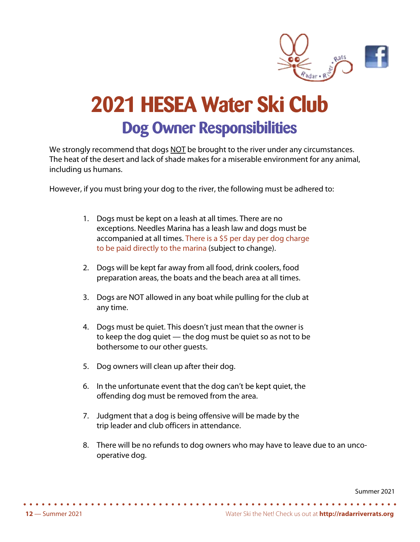

# **2021 HESEA Water Ski Club Dog Owner Responsibilities**

We strongly recommend that dogs NOT be brought to the river under any circumstances. The heat of the desert and lack of shade makes for a miserable environment for any animal, including us humans.

However, if you must bring your dog to the river, the following must be adhered to:

- 1. Dogs must be kept on a leash at all times. There are no exceptions. Needles Marina has a leash law and dogs must be accompanied at all times. There is a \$5 per day per dog charge to be paid directly to the marina (subject to change).
- 2. Dogs will be kept far away from all food, drink coolers, food preparation areas, the boats and the beach area at all times.
- 3. Dogs are NOT allowed in any boat while pulling for the club at any time.
- 4. Dogs must be quiet. This doesn't just mean that the owner is to keep the dog quiet — the dog must be quiet so as not to be bothersome to our other guests.
- 5. Dog owners will clean up after their dog.
- 6. In the unfortunate event that the dog can't be kept quiet, the offending dog must be removed from the area.
- 7. Judgment that a dog is being offensive will be made by the trip leader and club officers in attendance.
- 8. There will be no refunds to dog owners who may have to leave due to an uncooperative dog.

Summer 2021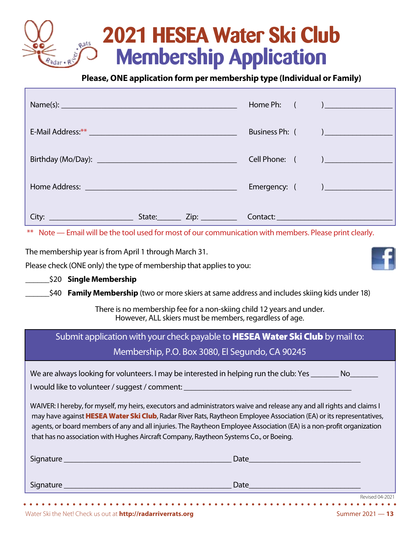# **2021 HESEA Water Ski Club Membership Application**

# **Please, ONE application form per membership type (Individual or Family)**

|                                                                                                                                                                                                                                                                                                                                                                                                                                                                  |                                                                                       |  |                |  | Home Ph: ( and ) |
|------------------------------------------------------------------------------------------------------------------------------------------------------------------------------------------------------------------------------------------------------------------------------------------------------------------------------------------------------------------------------------------------------------------------------------------------------------------|---------------------------------------------------------------------------------------|--|----------------|--|------------------|
|                                                                                                                                                                                                                                                                                                                                                                                                                                                                  |                                                                                       |  | Business Ph: ( |  |                  |
|                                                                                                                                                                                                                                                                                                                                                                                                                                                                  |                                                                                       |  | Cell Phone: (  |  |                  |
|                                                                                                                                                                                                                                                                                                                                                                                                                                                                  |                                                                                       |  |                |  |                  |
|                                                                                                                                                                                                                                                                                                                                                                                                                                                                  |                                                                                       |  |                |  |                  |
| ** Note — Email will be the tool used for most of our communication with members. Please print clearly.                                                                                                                                                                                                                                                                                                                                                          |                                                                                       |  |                |  |                  |
| The membership year is from April 1 through March 31.<br>Please check (ONE only) the type of membership that applies to you:                                                                                                                                                                                                                                                                                                                                     |                                                                                       |  |                |  |                  |
| \$20 Single Membership                                                                                                                                                                                                                                                                                                                                                                                                                                           |                                                                                       |  |                |  |                  |
| \$40 <b>Family Membership</b> (two or more skiers at same address and includes skiing kids under 18)                                                                                                                                                                                                                                                                                                                                                             |                                                                                       |  |                |  |                  |
| There is no membership fee for a non-skiing child 12 years and under.<br>However, ALL skiers must be members, regardless of age.                                                                                                                                                                                                                                                                                                                                 |                                                                                       |  |                |  |                  |
|                                                                                                                                                                                                                                                                                                                                                                                                                                                                  | Submit application with your check payable to <b>HESEA Water Ski Club</b> by mail to: |  |                |  |                  |
|                                                                                                                                                                                                                                                                                                                                                                                                                                                                  | Membership, P.O. Box 3080, El Segundo, CA 90245                                       |  |                |  |                  |
| We are always looking for volunteers. I may be interested in helping run the club: Yes _________ No____                                                                                                                                                                                                                                                                                                                                                          |                                                                                       |  |                |  |                  |
| I would like to volunteer / suggest / comment:                                                                                                                                                                                                                                                                                                                                                                                                                   |                                                                                       |  |                |  |                  |
| WAIVER: I hereby, for myself, my heirs, executors and administrators waive and release any and all rights and claims I<br>may have against HESEA Water Ski Club, Radar River Rats, Raytheon Employee Association (EA) or its representatives,<br>agents, or board members of any and all injuries. The Raytheon Employee Association (EA) is a non-profit organization<br>that has no association with Hughes Aircraft Company, Raytheon Systems Co., or Boeing. |                                                                                       |  |                |  |                  |
|                                                                                                                                                                                                                                                                                                                                                                                                                                                                  |                                                                                       |  |                |  |                  |
|                                                                                                                                                                                                                                                                                                                                                                                                                                                                  |                                                                                       |  |                |  |                  |
|                                                                                                                                                                                                                                                                                                                                                                                                                                                                  |                                                                                       |  |                |  | Revised 04-2021  |